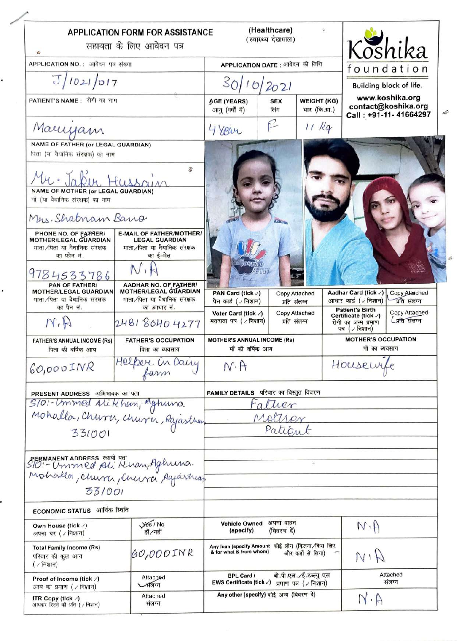| $\bullet$                                                                                           | <b>APPLICATION FORM FOR ASSISTANCE</b><br>सहायता के लिए आवेदन पत्र                                    |                                                                                                      | (Healthcare)<br>(स्वास्थ्य देखभाल) | $\mathbb{O}$                                 |                                                                         | Koshika                        |  |
|-----------------------------------------------------------------------------------------------------|-------------------------------------------------------------------------------------------------------|------------------------------------------------------------------------------------------------------|------------------------------------|----------------------------------------------|-------------------------------------------------------------------------|--------------------------------|--|
| APPLICATION NO. : आवेबन पत्र संख्या                                                                 | APPLICATION DATE : आयेदन की तिथि                                                                      |                                                                                                      |                                    |                                              | foundation                                                              |                                |  |
| J/1021/017                                                                                          |                                                                                                       | 30/10/2021                                                                                           |                                    |                                              |                                                                         | <b>Building block of life.</b> |  |
| PATIENT'S NAME: रोगी का नाम                                                                         |                                                                                                       | <b>AGE (YEARS)</b><br>आयु (वर्षों में)                                                               | <b>SEX</b><br>लिंग                 | <b>WEIGHT (KG)</b><br>भार (कि.ग्रा.)         | www.koshika.org<br>contact@koshika.org<br>Call: +91-11-41664297         |                                |  |
| Marryam                                                                                             |                                                                                                       | 4 Year                                                                                               | R                                  | $11$ Kg                                      |                                                                         |                                |  |
| NAME OF FATHER (or LEGAL GUARDIAN)<br>पिता (या वैधानिक संरक्षक) का नाम<br>冒                         |                                                                                                       |                                                                                                      |                                    |                                              |                                                                         |                                |  |
| Mr. Jabin<br><b>NAME OF MOTHER (or LEGAL GUARDIAN)</b><br>मों (या वैधानिक संरक्षक) का नाम           |                                                                                                       |                                                                                                      |                                    |                                              |                                                                         |                                |  |
| Mers. Shabnam Bano                                                                                  |                                                                                                       |                                                                                                      | Ginna                              |                                              |                                                                         |                                |  |
| PHONE NO. OF FATHER/<br>MOTHER/LEGAL GUARDIAN<br>गाता ∕पिता या वैधानिक संरक्षक<br>का फोन नं.        | <b>E-MAIL OF FATHER/MOTHER/</b><br><b>LEGAL GUARDIAN</b><br>माता ∕पिता या वैधानिक संरक्षक<br>का ई-मेल |                                                                                                      |                                    |                                              |                                                                         |                                |  |
| 9784533786                                                                                          |                                                                                                       |                                                                                                      |                                    |                                              |                                                                         |                                |  |
| PAN OF FATHER/<br><b>MOTHER/LEGAL GUARDIAN</b><br>माता ∕पिता या वैधानिक संरक्षक<br>का पैन नं.       | AADHAR NO. OF FATHER/<br><b>MOTHER/LEGAL GUARDIAN</b><br>माता ∕पिता या वैधानिक संरक्षक<br>का आधार नं. | PAN Card (tick /)<br>पैन कार्ड ( √ निशान)                                                            |                                    | Copy Attached<br>प्रति संलग्न                | Aadhar Card (tick /)<br>आधार कार्ड ( / निशान)<br><b>Patient's Birth</b> | Copy Attached<br>प्रति संलग्न  |  |
| M.H                                                                                                 | 248180404277                                                                                          | Voter Card (tick v)<br>मतदाता पत्र ( / निशान)                                                        |                                    | Copy Attached<br>प्रति संलग्न                | Certificate (tick /)<br>रोगी का जन्म प्रमाण<br>पत्र (√निशान)            | Copy Attached<br>मिति संलग्न   |  |
| <b>FATHER'S ANNUAL INCOME (Rs)</b><br>पिता की वर्षिक आय                                             | <b>FATHER'S OCCUPATION</b><br>पिता का व्यवसाय                                                         | <b>MOTHER'S ANNUAL INCOME (Rs)</b><br>माँ की वर्षिक आय                                               |                                    | <b>MOTHER'S OCCUPATION</b><br>माँ का व्यवसाय |                                                                         |                                |  |
| $60,000$ INR                                                                                        | Helper in Dairy                                                                                       | Housewife<br>$N \cdot H$                                                                             |                                    |                                              |                                                                         |                                |  |
| PRESENT ADDRESS अभिभावक का पता                                                                      |                                                                                                       | FAMILY DETAILS परिवार का विस्तृत विवरण                                                               |                                    |                                              |                                                                         |                                |  |
|                                                                                                     |                                                                                                       | Fatuer                                                                                               |                                    |                                              |                                                                         |                                |  |
| 5/0: Ummed Alikhan, Aghuna<br>Mohalla, Chura, Chura, Rajastran                                      |                                                                                                       |                                                                                                      | Mother                             |                                              |                                                                         |                                |  |
| 331001                                                                                              |                                                                                                       | Patient                                                                                              |                                    |                                              |                                                                         |                                |  |
| pERMANENT ADDRESS HARA JAT<br>SIO: - Ummed poli Khan, Aghuna.<br>Mohalla, Churri, Churra, Rajastuaz |                                                                                                       |                                                                                                      |                                    |                                              |                                                                         |                                |  |
| 331001                                                                                              |                                                                                                       |                                                                                                      |                                    |                                              |                                                                         |                                |  |
| आर्थिक रिश्वति<br><b>ECONOMIC STATUS</b>                                                            |                                                                                                       |                                                                                                      |                                    |                                              |                                                                         |                                |  |
| Own House (tick √)<br>अपना घर ( / निशान)                                                            | $Y0$ / No<br>हाँ /नहीं                                                                                | अपना वाहन<br><b>Vehicle Owned</b><br>(specify)<br>(विवरण दें)                                        |                                    | $N \cdot A$                                  |                                                                         |                                |  |
| <b>Total Family Income (Rs)</b><br>परिवार की कूल आय<br>( / निशान)                                   | $60,000$ JNR                                                                                          | Any loan (specify Amount कोई लोन (कितना/किस लिए<br>& for what & from whom)<br>और कहाँ से लिया)       |                                    | $A^{\prime}$                                 |                                                                         |                                |  |
| Proof of Income (tick $\sqrt{ }$ )<br>आय का प्रमाण (∠निशान)                                         | Attached<br>$\sqrt{d}$                                                                                | बी.पी.एल. ∕ई.डब्ल्यु एस<br><b>BPL Card /</b><br>EWS Certificate (tick √)<br>प्रमाण पत्र $($ / निशान) |                                    |                                              |                                                                         | Attached<br>संलग्न             |  |
| ITR Copy (tick $\sqrt{ }$ )<br>आयकर रिटर्न की प्रति ( / निशान)                                      | Attached<br>संलग्न                                                                                    | Any other (specify) कोई अन्य (विवरण दें)<br>$N \cdot \beta$                                          |                                    |                                              |                                                                         |                                |  |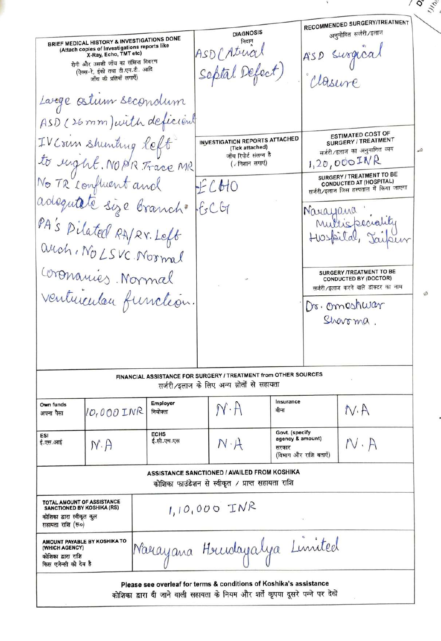$\begin{array}{c} 0 \\ 0 \\ 0 \end{array}$ RECOMMENDED SURGERY/TREATMENT **DIAGNOSIS** अनुमोदित सर्जरी/इलाज BRIEF MEDICAL HISTORY & INVESTIGATIONS DONE निदान (Attach copies of Investigations reports like<br>X-Ray, Echo, TMT etc) ASD (Atria रोगी और उसकी जाँच का संक्षिप्त विवरण Septal Defect) (ऐक्स-रे, ईको तथा टी.एम.टी. आदि जाँच की प्रतियाँ लगाएँ) Large ostum secondum ASD (26 mm) with deficient **ESTIMATED COST OF** IV Crim shunting left SURGERY / TREATMENT **INVESTIGATION REPORTS ATTACHED** (Tick attached) सर्जरी/इलाज का अनुमानित व्यय À to rught. NOPR Trace MR जाँच रिपोर्ट संलग्न है  $1,20,000$ INR (/ निशान लगाएं) SURGERY / TREATMENT TO BE **CONDUCTED AT (HOSPITAL)** FCHO सर्जरी/इलाज जिस हस्पताल में किया जाएगा adequitété size branch  $-604$ Narayana PA's Pilated RA/RY. Left Multispeciality Hospital anch. No LSVC. Normal Coronanies Normal **SURGERY /TREATMENT TO BE CONDUCTED BY (DOCTOR)** सर्जरी∕इलाज करने वाले डॉक्टर का नाम ventuiculau function Dr. omeshwar Sherrma FINANCIAL ASSISTANCE FOR SURGERY / TREATMENT from OTHER SOURCES सर्जरी/इलाज के लिए अन्य स्रोतों से सहायता Insurance Employer Own funds  $N \cdot A$  $N.A$ 10,000 INR बीमा नियोक्ता अपना पैसा Govt. (specify<br>agency & amount) **ECHS** ESI ई.सी.एच.एस ई.एस.आई  $N \cdot A$  $N \cdot A$  $N \cdot A$ सरकार (विभाग और राशि बताएँ) **ASSISTANCE SANCTIONED / AVAILED FROM KOSHIKA** कोशिका फाउंडेशन से स्वीकृत / प्राप्त सहायता राशि **TOTAL AMOUNT OF ASSISTANCE<br>SANCTIONED BY KOSHIKA (RS)**  $1,10,000$  INR कोशिका द्वारा स्वीकृत कूल सहायता राशि (रू०) Narayana Heurdayalya Limited **AMOUNT PAYABLE BY KOSHIKA TO** (WHICH AGENCY) कोशिका द्वारा राशि किस एजेन्सी को देय है Please see overleaf for terms & conditions of Koshika's assistance कोशिका द्वारा दी जाने वाली सहायता के नियम और शर्तें कृपया दूसरे पन्ने पर देखें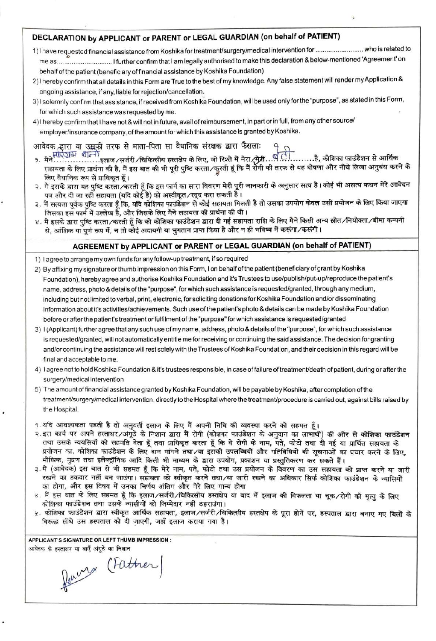## DECLARATION by APPLICANT or PARENT or LEGAL GUARDIAN (on behalf of PATIENT)

- 1) have requested financial assistance from Koshika for treatment/surgery/medical intervention for .. .who is related to me as...................................I further confirm that I am legally authorised to make this declaration & below-mentioned 'Agreement' on behalf of the patient (beneficiary of financial assistance by Koshika Foundation)
- 2) I hereby confirm that all details in this Form are True to the best of my knowledge. Any false statement will render my Application & ongoing assistance, if any, liable for rejection/cancellation
- 3)I solemnly confirm that assistance, if received from Koshika Foundation, will be used only for the "purpose", as stated in this Form, for which such assistance was requested by me
- 4)I hereby confirm that I have not & will not in future, availof reimbursement, in part or in ful, from any other source/ employer/insurance company, of the amount for which this assistance is granted by Koshlka.

आवेदक द्वारा या उद्भकी तरफ से माता-पिता सा वैधानिक संरक्षक द्वारा फैसलाः

- १. मैने……………….इलाज ∕ सर्जरी ∕चिकित्सीय हस्तक्षेप के लिए, जो रिश्ते में मेरा ∕मेरी….......है, कोशिका फाउंडेशन से आर्थिक<br>सहायता के लिए प्रार्थना की है, मैं इस बात की भी पूरी पुष्टि करता ∕कुरती हूं कि मैं रोगी की तरफ से यह लिए वैधानिक रूप से प्राधिकत हैं।
- २. मैं इसके द्वारा यह पुष्टि करता ∕करती हूँ कि इस फार्म का सारा विवरण मेरी पूरी जानकारी के अनुसार सत्य है। कोई भी असत्य कथन मेरे आवेदन पत्र और दी जा रही सहायता (यदि कोई है) को अस्वीकृत ∕रदुद करा सकती है।
- ३. मैं सत्यता पूर्वक पुष्टि करता हूँ कि, यदि कोशिका फाउंडेशन से कोई सहायता मिलती है तो उसका उपयोग केवल उसी प्रयोजन के लिए किया जाएगा जिसका इस फार्म में उल्लेख है, और जिसके लिए मैने सहायता की प्रार्थना की थी।
- ४. मैं इसके द्वारा पुष्टि करता ∕करती हूँ कि को कोशिका फाउंडेशन द्वारा दी गई सहायता राशि के लिए मैने किसी अन्य स्रोत ∕नियोक्ता ∕बीमा कम्पनी से, आंशिक या पूर्ण रूप में, न तो कोई अदायगी या भुगतान प्राप्त किया है और न ही भविष्य में करूंगा ∕करूंगी।

## AGREEMENT by APPLICANT or PARENT or LEGAL GUARDIAN (on behalf of PATIENT)

- 1) lagree to arrange my own funds for any follow-up treatment, if so required
- 2) By affixing my signature or thumb impression on this Form, I on behalf of the patient (beneficiary of grant by Koshika Foundation), hereby agree and authorise Koshika Foundation and it's Trustees to use/publish/put-up/reproduce the patient's name, address, photo & details of the "pupose", for which such assistance is requestedigranted, through any medium, including but not limited to verbal, print, electronic, for soliciting donations for Koshika Foundation and/or disseminating information about it's activities/achievements. Such use of the patient's photo & details can be made by Koshika Foundation before or ater the patient's treatment or fulfilment of the "purpose" forwhich assistance is requested/granted
- 3) 1(Applicant)further agree that any such use of my name, address, photo & details of the "purpose", for which such assistance is requested/granted, will not automatically entitle me for receiving or continuing the said assistance. The decision for granting and/or continuing the assistance will rest solely with the Trustees of Koshika Foundation, and their decision in this regard will be final and acceptable to me.
- 4) lagree not to hold Koshika Foundation & it's trustees responsible, in case of failure of treatment/death of patient, duringor after the surgery/medical intervention
- 5) The amount of financial assistance granted by Koshika Foundation, will be payable by Koshika, after completion of the treatment/surgery/medical intervention, directly to the Hospital where the treatment/procedure is carried out, against bills raised by the Hospital.

9. यदि आवश्यकता पडती है तो अनुवर्ती इलाज के लिए मैं अपनी निधि की व्यवस्था करने को सहमत हैं।

- २.इस कार्य पर अपने हस्ताक्षर/अंगूठे के निशान द्वारा मैं रोगी (कोशका फाउंडेशन के अनुदान का लाभार्थी) की ओर से कोशिका फाउंडेशन तथा उसके न्ययसियों को सहमति देता हूँ तथा प्राधिकृत करता हूँ कि वे रोगी के नाम, पते, फोटो तथा दी गई या प्रार्थित सहायता के प्रयोजन का, कोशिका फाउंडेशन के लिए दान मांगने तथा/या इसकी उपलब्धियों और गतिविधियों की सूचनाओं का प्रचार करने के लिए, मीखिक, मुद्रण तथा इलैक्ट्रॉनिक आदि किसी भी माध्यम के द्वारा उपयोग, प्रकाशन या प्रस्तुतिकरण कर सकते हैं।
- ३.मैं (आवेदक) इस बात से भी सहमत हूँ कि मेरे नाम, पते, फोटो तथा उस प्रयोजन के विवरण का उस सहायता को प्राप्त करने या जारी रखने का हकदार नहीं बन जाउंगा। सहायता को स्वीकृत करने तथा/या जारी रखने का अधिकार सिर्फ कोशिका फाउंडेशन के न्यासियों का होगा, और इस विषय में उनका निर्णय अंतिम और मेरे लिए मान्य होगा
- ४. मैं इस बात के लिए सहमत हूँ कि इलाज∕सर्जरी∕चिकित्सीय हस्तक्षेप या बाद में इलाज की विफलता या चूक∕रोगी की मृत्यू के लिए कोशिका फाउंडेशन तथा उसके न्यासीयों को जिम्मेदार नहीं ठहराउंगा।
- ५. कोशिका फाउंडेशन द्वारा स्वीकृत आर्थिक सहायता, इलाज∕सर्जरी∕चिकित्सीय हस्तक्षेप के पूरा होने पर, हस्पताल द्वारा बनाए गए बिलों के विरूद्ध सीधे उस हस्पताल को दी जाएगी. जहाँ इलाज कराया गया है।

APPLICANT'S SIGNATURE OR LEFT THUMB IMPRESSION आवेदक के हस्ताक्षर या बाएँ अंगुठे का निशान

Perry (Father)